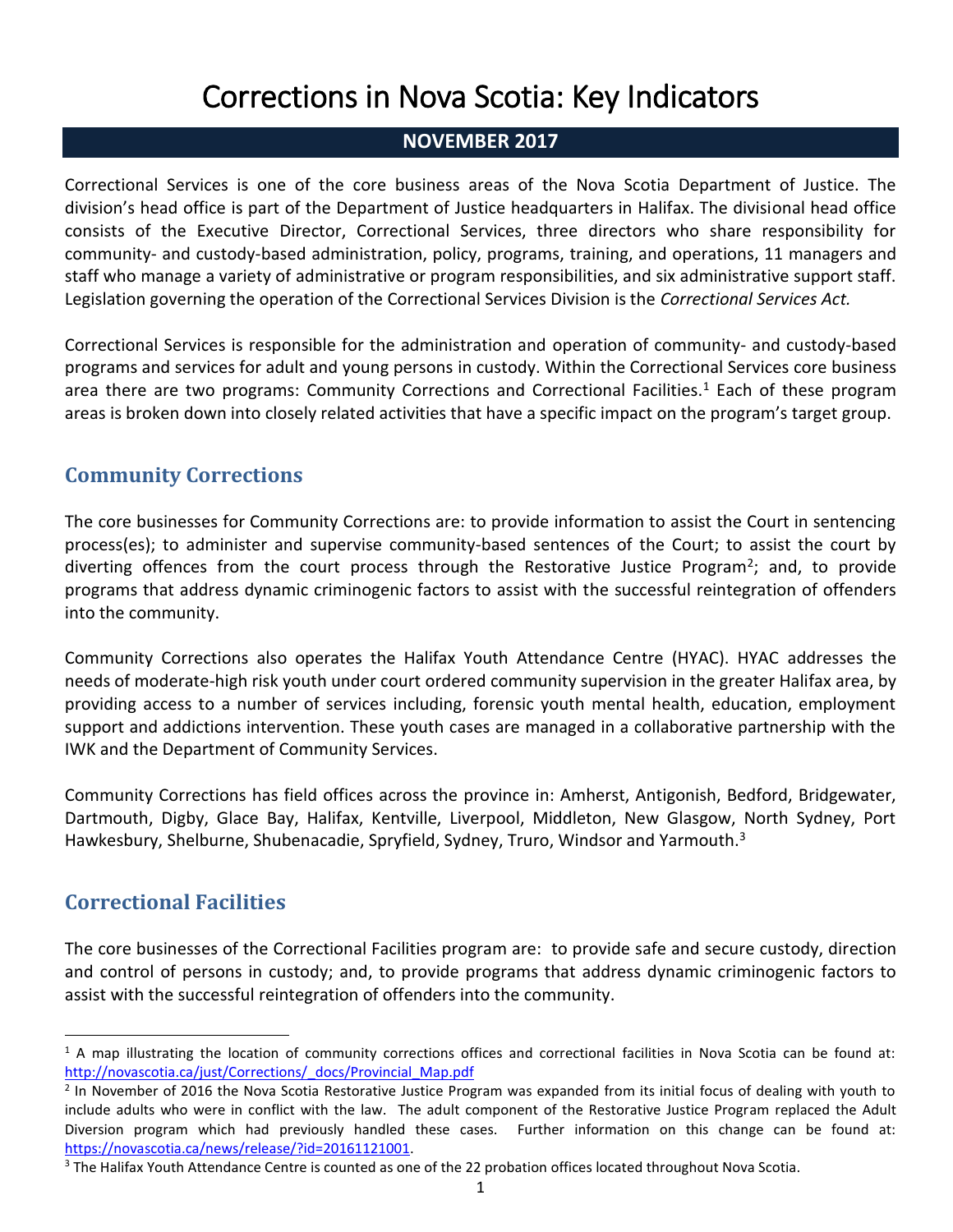# Corrections in Nova Scotia: Key Indicators

#### **NOVEMBER 2017**

Correctional Services is one of the core business areas of the Nova Scotia Department of Justice. The division's head office is part of the Department of Justice headquarters in Halifax. The divisional head office consists of the Executive Director, Correctional Services, three directors who share responsibility for community- and custody-based administration, policy, programs, training, and operations, 11 managers and staff who manage a variety of administrative or program responsibilities, and six administrative support staff. Legislation governing the operation of the Correctional Services Division is the *Correctional Services Act.*

Correctional Services is responsible for the administration and operation of community- and custody-based programs and services for adult and young persons in custody. Within the Correctional Services core business area there are two programs: Community Corrections and Correctional Facilities.<sup>1</sup> Each of these program areas is broken down into closely related activities that have a specific impact on the program's target group.

### **Community Corrections**

The core businesses for Community Corrections are: to provide information to assist the Court in sentencing process(es); to administer and supervise community-based sentences of the Court; to assist the court by diverting offences from the court process through the Restorative Justice Program<sup>2</sup>; and, to provide programs that address dynamic criminogenic factors to assist with the successful reintegration of offenders into the community.

Community Corrections also operates the Halifax Youth Attendance Centre (HYAC). HYAC addresses the needs of moderate-high risk youth under court ordered community supervision in the greater Halifax area, by providing access to a number of services including, forensic youth mental health, education, employment support and addictions intervention. These youth cases are managed in a collaborative partnership with the IWK and the Department of Community Services.

Community Corrections has field offices across the province in: Amherst, Antigonish, Bedford, Bridgewater, Dartmouth, Digby, Glace Bay, Halifax, Kentville, Liverpool, Middleton, New Glasgow, North Sydney, Port Hawkesbury, Shelburne, Shubenacadie, Spryfield, Sydney, Truro, Windsor and Yarmouth.<sup>3</sup>

# **Correctional Facilities**

 $\overline{a}$ 

The core businesses of the Correctional Facilities program are: to provide safe and secure custody, direction and control of persons in custody; and, to provide programs that address dynamic criminogenic factors to assist with the successful reintegration of offenders into the community.

 $1$  A map illustrating the location of community corrections offices and correctional facilities in Nova Scotia can be found at: [http://novascotia.ca/just/Corrections/\\_docs/Provincial\\_Map.pdf](http://novascotia.ca/just/Corrections/_docs/Provincial_Map.pdf)

<sup>&</sup>lt;sup>2</sup> In November of 2016 the Nova Scotia Restorative Justice Program was expanded from its initial focus of dealing with youth to include adults who were in conflict with the law. The adult component of the Restorative Justice Program replaced the Adult Diversion program which had previously handled these cases. Further information on this change can be found at: [https://novascotia.ca/news/release/?id=20161121001.](https://novascotia.ca/news/release/?id=20161121001)

<sup>&</sup>lt;sup>3</sup> The Halifax Youth Attendance Centre is counted as one of the 22 probation offices located throughout Nova Scotia.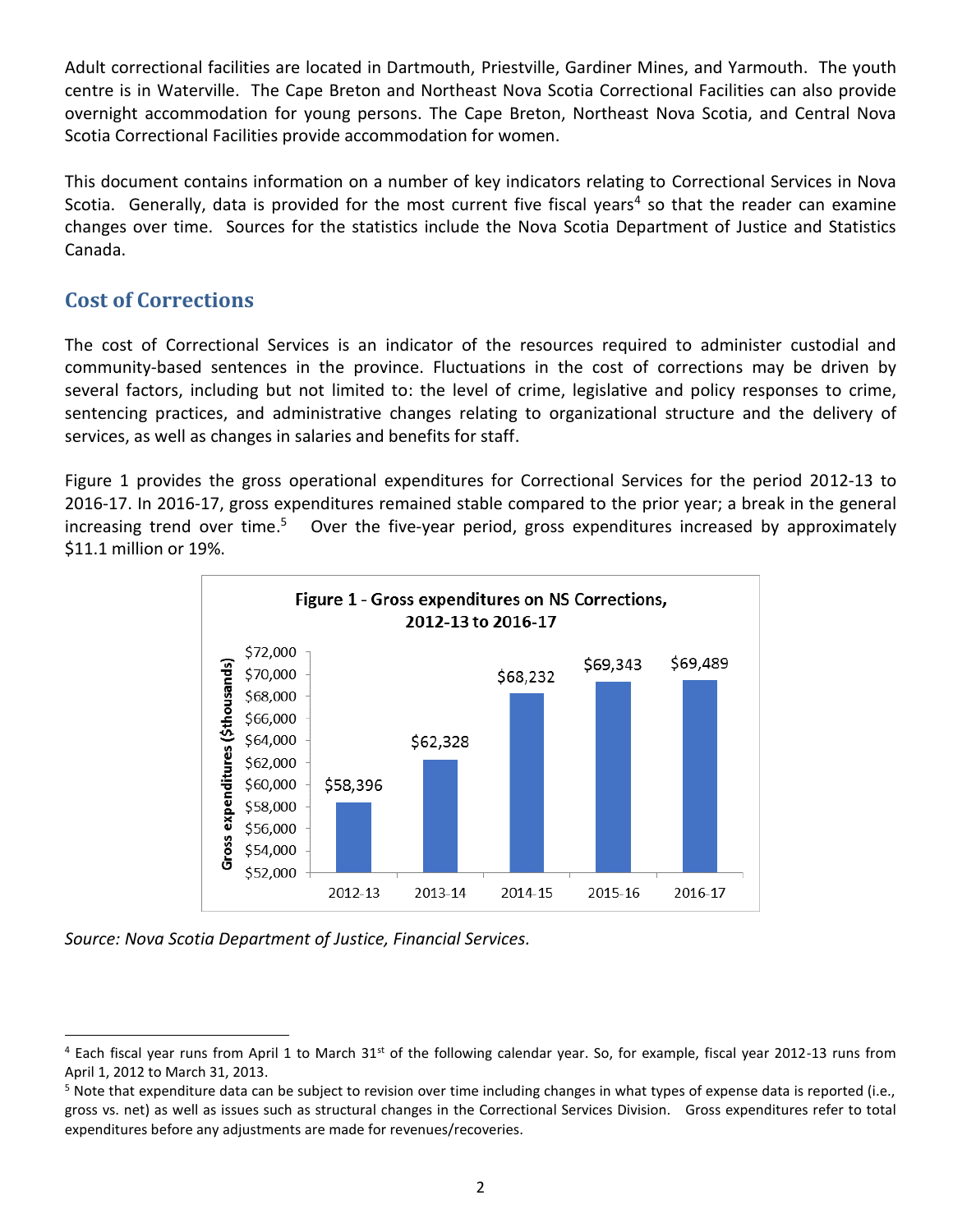Adult correctional facilities are located in Dartmouth, Priestville, Gardiner Mines, and Yarmouth. The youth centre is in Waterville. The Cape Breton and Northeast Nova Scotia Correctional Facilities can also provide overnight accommodation for young persons. The Cape Breton, Northeast Nova Scotia, and Central Nova Scotia Correctional Facilities provide accommodation for women.

This document contains information on a number of key indicators relating to Correctional Services in Nova Scotia. Generally, data is provided for the most current five fiscal years<sup>4</sup> so that the reader can examine changes over time. Sources for the statistics include the Nova Scotia Department of Justice and Statistics Canada.

#### **Cost of Corrections**

The cost of Correctional Services is an indicator of the resources required to administer custodial and community-based sentences in the province. Fluctuations in the cost of corrections may be driven by several factors, including but not limited to: the level of crime, legislative and policy responses to crime, sentencing practices, and administrative changes relating to organizational structure and the delivery of services, as well as changes in salaries and benefits for staff.

Figure 1 provides the gross operational expenditures for Correctional Services for the period 2012-13 to 2016-17. In 2016-17, gross expenditures remained stable compared to the prior year; a break in the general increasing trend over time.<sup>5</sup> Over the five-year period, gross expenditures increased by approximately \$11.1 million or 19%.





 $\overline{a}$  $4$  Each fiscal year runs from April 1 to March 31<sup>st</sup> of the following calendar year. So, for example, fiscal year 2012-13 runs from April 1, 2012 to March 31, 2013.

<sup>&</sup>lt;sup>5</sup> Note that expenditure data can be subject to revision over time including changes in what types of expense data is reported (i.e., gross vs. net) as well as issues such as structural changes in the Correctional Services Division. Gross expenditures refer to total expenditures before any adjustments are made for revenues/recoveries.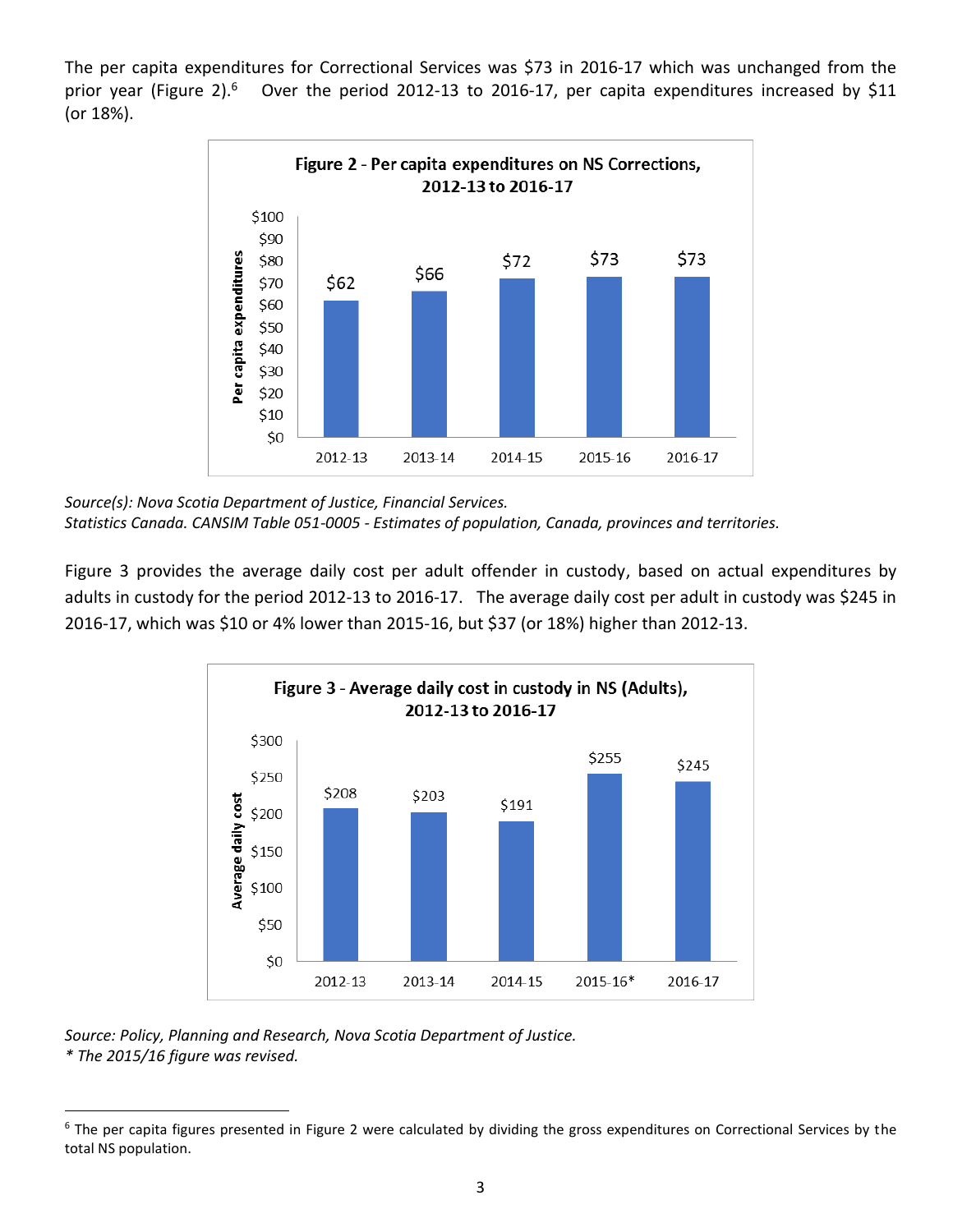The per capita expenditures for Correctional Services was \$73 in 2016-17 which was unchanged from the prior year (Figure 2).<sup>6</sup> Over the period 2012-13 to 2016-17, per capita expenditures increased by \$11 (or 18%).



*Source(s): Nova Scotia Department of Justice, Financial Services. Statistics Canada. CANSIM Table 051-0005 - Estimates of population, Canada, provinces and territories.* 

Figure 3 provides the average daily cost per adult offender in custody, based on actual expenditures by adults in custody for the period 2012-13 to 2016-17. The average daily cost per adult in custody was \$245 in 2016-17, which was \$10 or 4% lower than 2015-16, but \$37 (or 18%) higher than 2012-13.



*Source: Policy, Planning and Research, Nova Scotia Department of Justice. \* The 2015/16 figure was revised.*

l  $6$  The per capita figures presented in Figure 2 were calculated by dividing the gross expenditures on Correctional Services by the total NS population.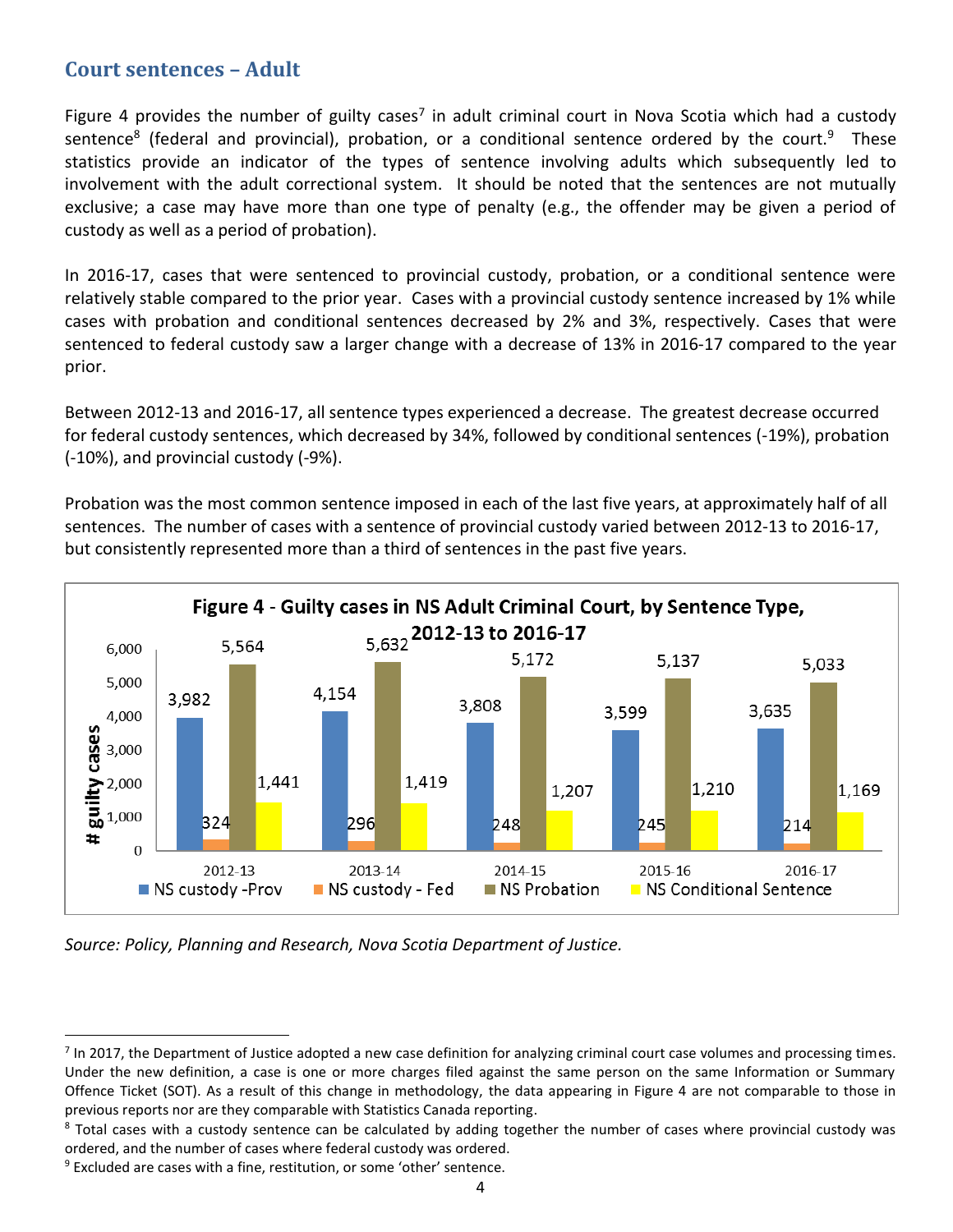#### **Court sentences – Adult**

Figure 4 provides the number of guilty cases<sup>7</sup> in adult criminal court in Nova Scotia which had a custody sentence<sup>8</sup> (federal and provincial), probation, or a conditional sentence ordered by the court.<sup>9</sup> These statistics provide an indicator of the types of sentence involving adults which subsequently led to involvement with the adult correctional system. It should be noted that the sentences are not mutually exclusive; a case may have more than one type of penalty (e.g., the offender may be given a period of custody as well as a period of probation).

In 2016-17, cases that were sentenced to provincial custody, probation, or a conditional sentence were relatively stable compared to the prior year. Cases with a provincial custody sentence increased by 1% while cases with probation and conditional sentences decreased by 2% and 3%, respectively. Cases that were sentenced to federal custody saw a larger change with a decrease of 13% in 2016-17 compared to the year prior.

Between 2012-13 and 2016-17, all sentence types experienced a decrease. The greatest decrease occurred for federal custody sentences, which decreased by 34%, followed by conditional sentences (-19%), probation (-10%), and provincial custody (-9%).

Probation was the most common sentence imposed in each of the last five years, at approximately half of all sentences. The number of cases with a sentence of provincial custody varied between 2012-13 to 2016-17, but consistently represented more than a third of sentences in the past five years.



*Source: Policy, Planning and Research, Nova Scotia Department of Justice.*

 $\overline{a}$ 

<sup>&</sup>lt;sup>7</sup> In 2017, the Department of Justice adopted a new case definition for analyzing criminal court case volumes and processing times. Under the new definition, a case is one or more charges filed against the same person on the same Information or Summary Offence Ticket (SOT). As a result of this change in methodology, the data appearing in Figure 4 are not comparable to those in previous reports nor are they comparable with Statistics Canada reporting.

<sup>&</sup>lt;sup>8</sup> Total cases with a custody sentence can be calculated by adding together the number of cases where provincial custody was ordered, and the number of cases where federal custody was ordered.

 $9$  Excluded are cases with a fine, restitution, or some 'other' sentence.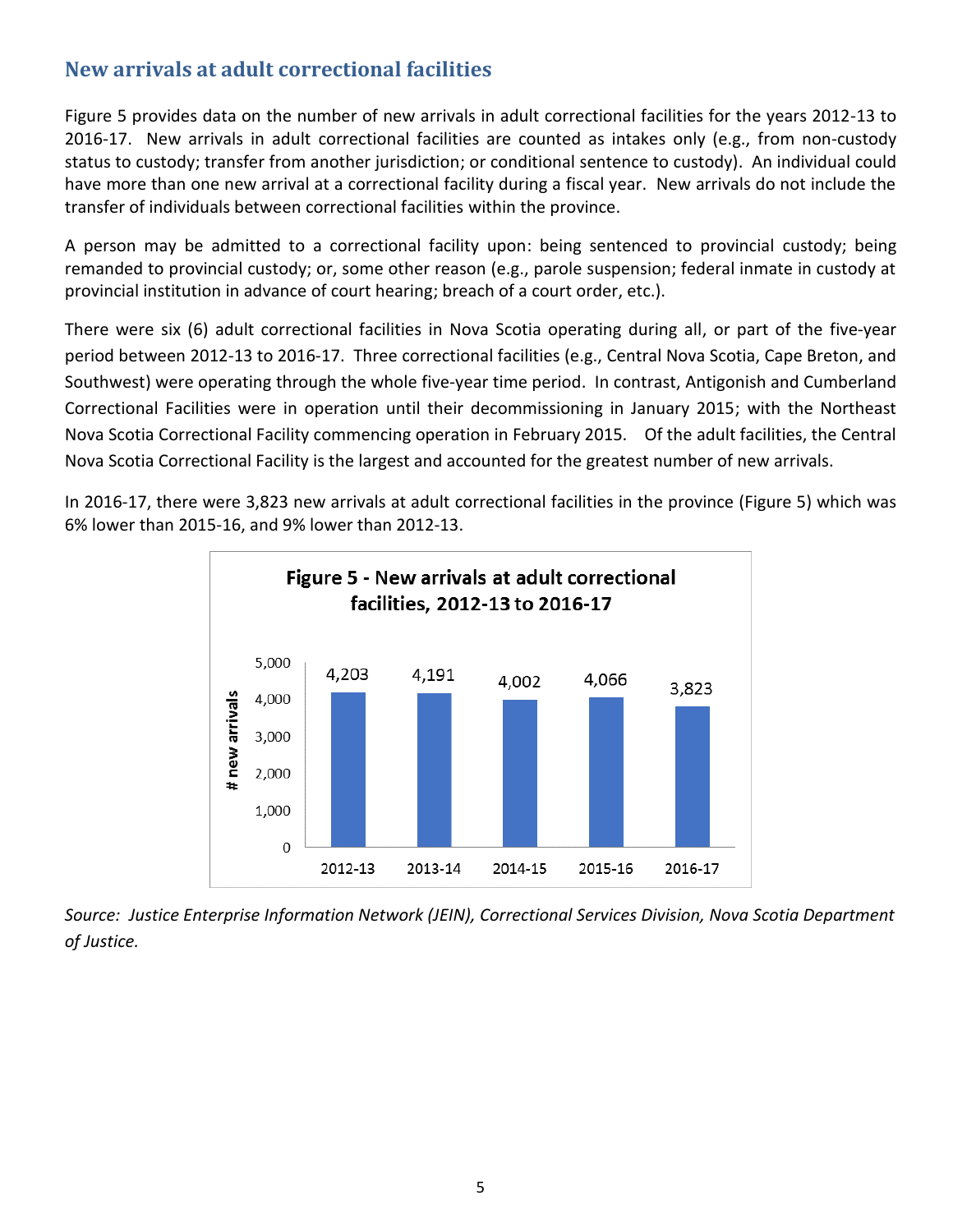### **New arrivals at adult correctional facilities**

Figure 5 provides data on the number of new arrivals in adult correctional facilities for the years 2012-13 to 2016-17. New arrivals in adult correctional facilities are counted as intakes only (e.g., from non-custody status to custody; transfer from another jurisdiction; or conditional sentence to custody). An individual could have more than one new arrival at a correctional facility during a fiscal year. New arrivals do not include the transfer of individuals between correctional facilities within the province.

A person may be admitted to a correctional facility upon: being sentenced to provincial custody; being remanded to provincial custody; or, some other reason (e.g., parole suspension; federal inmate in custody at provincial institution in advance of court hearing; breach of a court order, etc.).

There were six (6) adult correctional facilities in Nova Scotia operating during all, or part of the five-year period between 2012-13 to 2016-17. Three correctional facilities (e.g., Central Nova Scotia, Cape Breton, and Southwest) were operating through the whole five-year time period. In contrast, Antigonish and Cumberland Correctional Facilities were in operation until their decommissioning in January 2015; with the Northeast Nova Scotia Correctional Facility commencing operation in February 2015. Of the adult facilities, the Central Nova Scotia Correctional Facility is the largest and accounted for the greatest number of new arrivals.

In 2016-17, there were 3,823 new arrivals at adult correctional facilities in the province (Figure 5) which was 6% lower than 2015-16, and 9% lower than 2012-13.



*Source: Justice Enterprise Information Network (JEIN), Correctional Services Division, Nova Scotia Department of Justice.*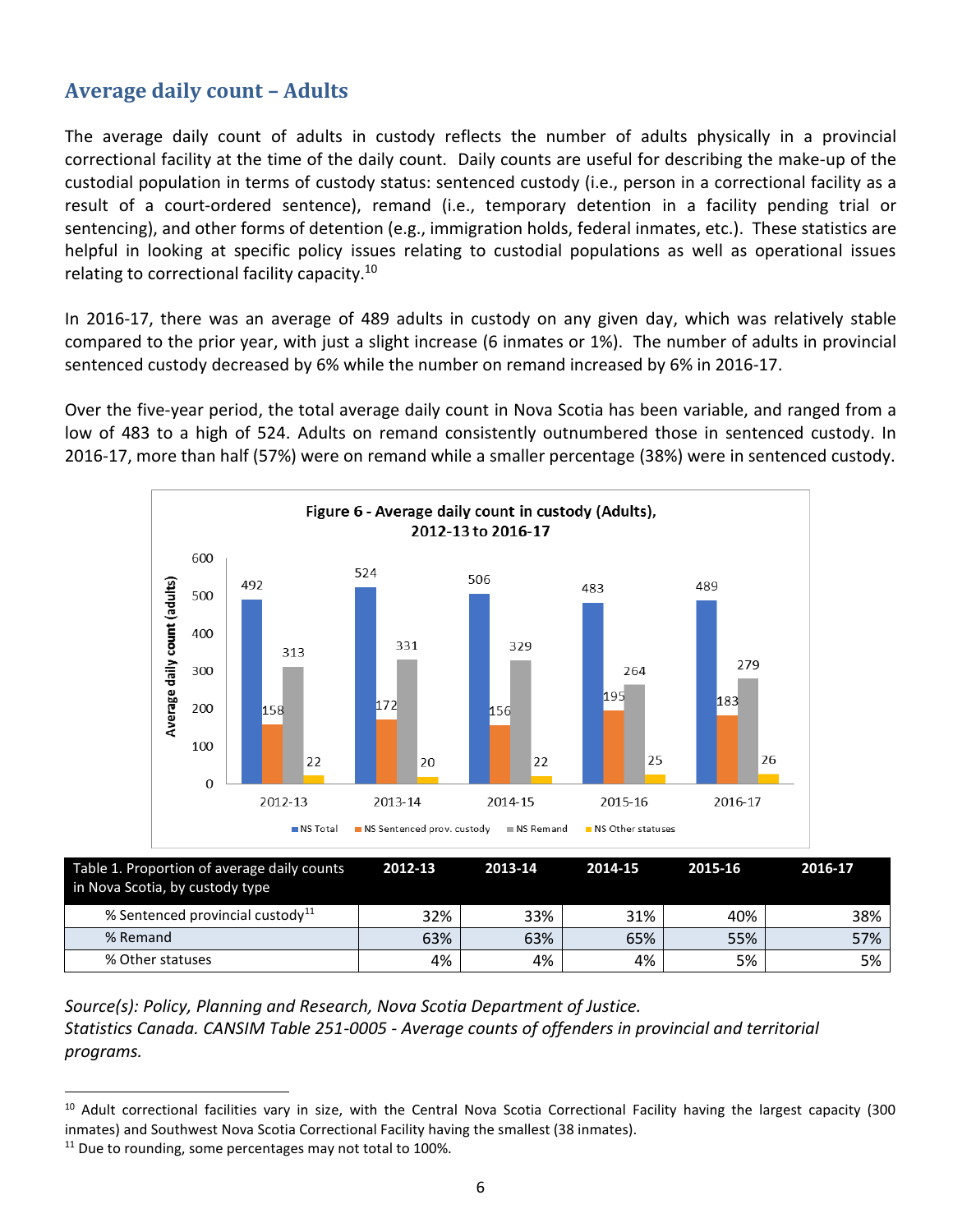# **Average daily count – Adults**

The average daily count of adults in custody reflects the number of adults physically in a provincial correctional facility at the time of the daily count. Daily counts are useful for describing the make-up of the custodial population in terms of custody status: sentenced custody (i.e., person in a correctional facility as a result of a court-ordered sentence), remand (i.e., temporary detention in a facility pending trial or sentencing), and other forms of detention (e.g., immigration holds, federal inmates, etc.). These statistics are helpful in looking at specific policy issues relating to custodial populations as well as operational issues relating to correctional facility capacity.<sup>10</sup>

In 2016-17, there was an average of 489 adults in custody on any given day, which was relatively stable compared to the prior year, with just a slight increase (6 inmates or 1%). The number of adults in provincial sentenced custody decreased by 6% while the number on remand increased by 6% in 2016-17.

Over the five-year period, the total average daily count in Nova Scotia has been variable, and ranged from a low of 483 to a high of 524. Adults on remand consistently outnumbered those in sentenced custody. In 2016-17, more than half (57%) were on remand while a smaller percentage (38%) were in sentenced custody.



| Table 1. Proportion of average daily counts<br>in Nova Scotia, by custody type | 2012-13 | 2013-14 | 2014-15 | 2015-16 | 2016-17 |
|--------------------------------------------------------------------------------|---------|---------|---------|---------|---------|
| % Sentenced provincial custody <sup>11</sup>                                   | 32%     | 33%     | 31%     | 40%     | 38%     |
| % Remand                                                                       | 63%     | 63%     | 65%     | 55%     | 57%     |
| % Other statuses                                                               | 4%      | 4%      | 4%      | 5%      | 5%      |

*Source(s): Policy, Planning and Research, Nova Scotia Department of Justice. Statistics Canada. CANSIM Table 251-0005 - Average counts of offenders in provincial and territorial programs.* 

<sup>&</sup>lt;sup>10</sup> Adult correctional facilities vary in size, with the Central Nova Scotia Correctional Facility having the largest capacity (300 inmates) and Southwest Nova Scotia Correctional Facility having the smallest (38 inmates).

<sup>&</sup>lt;sup>11</sup> Due to rounding, some percentages may not total to 100%.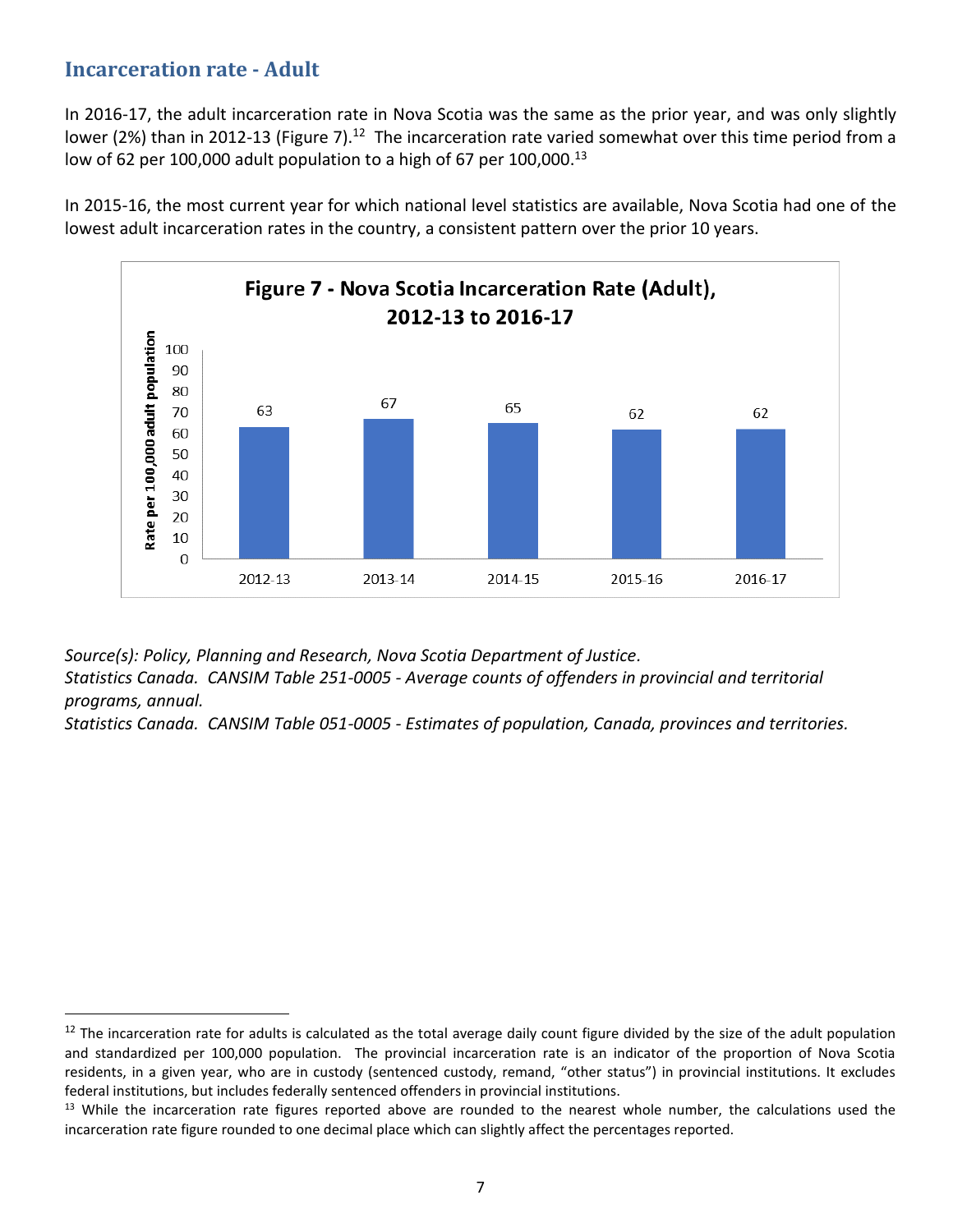#### **Incarceration rate - Adult**

l

In 2016-17, the adult incarceration rate in Nova Scotia was the same as the prior year, and was only slightly lower (2%) than in 2012-13 (Figure 7).<sup>12</sup> The incarceration rate varied somewhat over this time period from a low of 62 per 100,000 adult population to a high of 67 per 100,000.<sup>13</sup>

In 2015-16, the most current year for which national level statistics are available, Nova Scotia had one of the lowest adult incarceration rates in the country, a consistent pattern over the prior 10 years.



*Source(s): Policy, Planning and Research, Nova Scotia Department of Justice. Statistics Canada. CANSIM Table 251-0005 - Average counts of offenders in provincial and territorial programs, annual.* 

*Statistics Canada. CANSIM Table 051-0005 - Estimates of population, Canada, provinces and territories.* 

<sup>&</sup>lt;sup>12</sup> The incarceration rate for adults is calculated as the total average daily count figure divided by the size of the adult population and standardized per 100,000 population. The provincial incarceration rate is an indicator of the proportion of Nova Scotia residents, in a given year, who are in custody (sentenced custody, remand, "other status") in provincial institutions. It excludes federal institutions, but includes federally sentenced offenders in provincial institutions.

<sup>&</sup>lt;sup>13</sup> While the incarceration rate figures reported above are rounded to the nearest whole number, the calculations used the incarceration rate figure rounded to one decimal place which can slightly affect the percentages reported.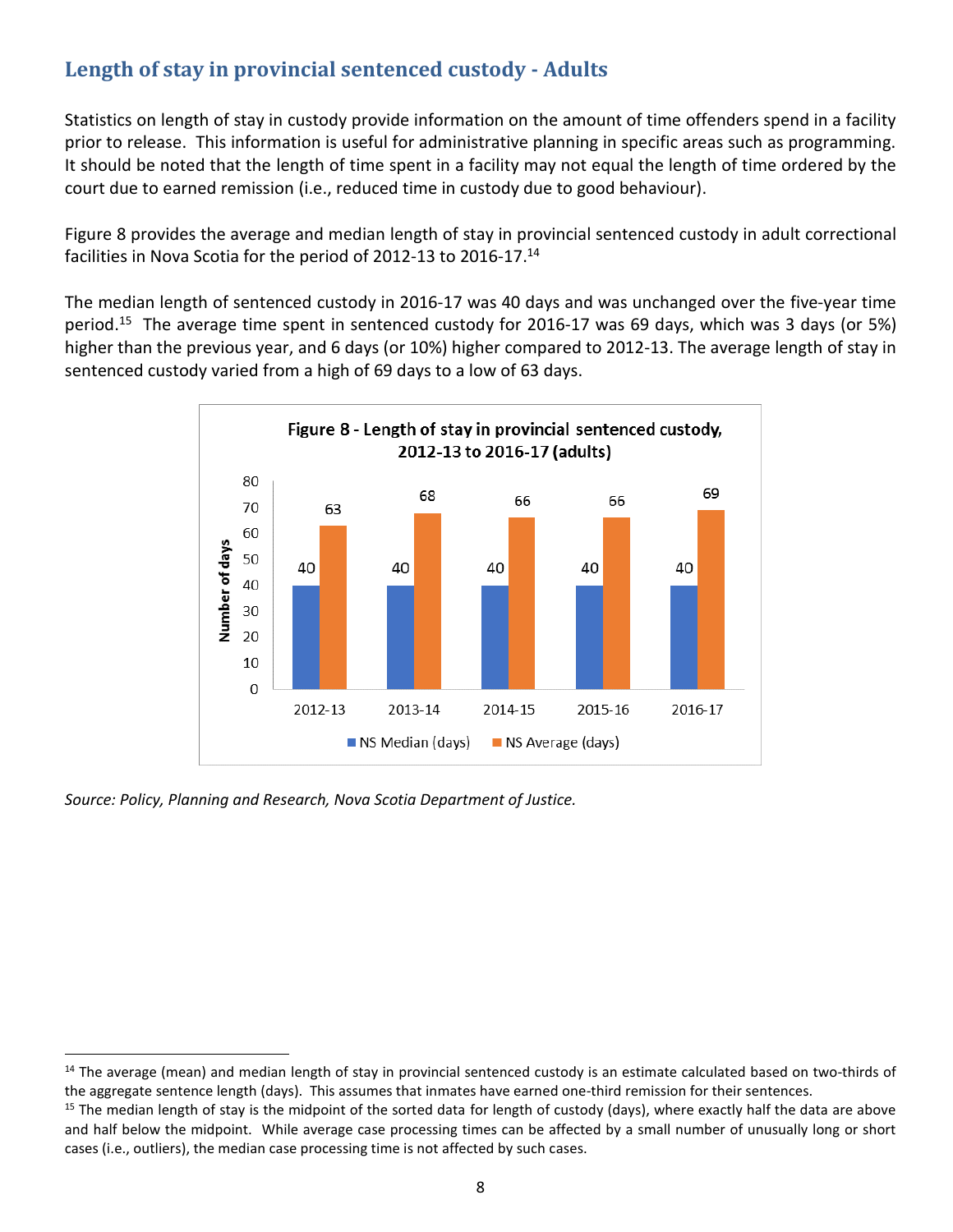# **Length of stay in provincial sentenced custody - Adults**

Statistics on length of stay in custody provide information on the amount of time offenders spend in a facility prior to release. This information is useful for administrative planning in specific areas such as programming. It should be noted that the length of time spent in a facility may not equal the length of time ordered by the court due to earned remission (i.e., reduced time in custody due to good behaviour).

Figure 8 provides the average and median length of stay in provincial sentenced custody in adult correctional facilities in Nova Scotia for the period of 2012-13 to 2016-17. 14

The median length of sentenced custody in 2016-17 was 40 days and was unchanged over the five-year time period.<sup>15</sup> The average time spent in sentenced custody for 2016-17 was 69 days, which was 3 days (or 5%) higher than the previous year, and 6 days (or 10%) higher compared to 2012-13. The average length of stay in sentenced custody varied from a high of 69 days to a low of 63 days.



*Source: Policy, Planning and Research, Nova Scotia Department of Justice.*

 $14$  The average (mean) and median length of stay in provincial sentenced custody is an estimate calculated based on two-thirds of the aggregate sentence length (days). This assumes that inmates have earned one-third remission for their sentences.

 $15$  The median length of stay is the midpoint of the sorted data for length of custody (days), where exactly half the data are above and half below the midpoint. While average case processing times can be affected by a small number of unusually long or short cases (i.e., outliers), the median case processing time is not affected by such cases.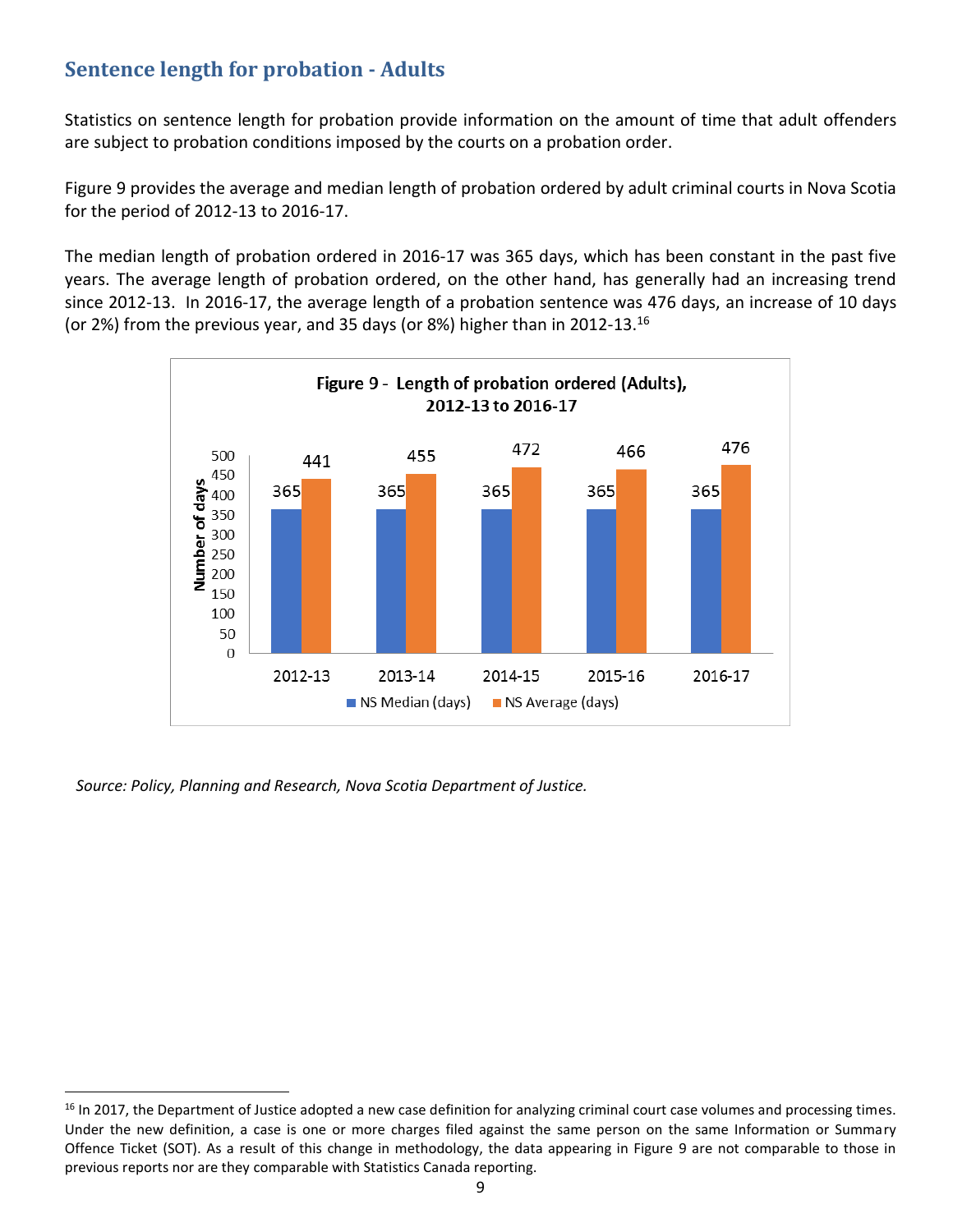# **Sentence length for probation - Adults**

Statistics on sentence length for probation provide information on the amount of time that adult offenders are subject to probation conditions imposed by the courts on a probation order.

Figure 9 provides the average and median length of probation ordered by adult criminal courts in Nova Scotia for the period of 2012-13 to 2016-17.

The median length of probation ordered in 2016-17 was 365 days, which has been constant in the past five years. The average length of probation ordered, on the other hand, has generally had an increasing trend since 2012-13. In 2016-17, the average length of a probation sentence was 476 days, an increase of 10 days (or 2%) from the previous year, and 35 days (or 8%) higher than in 2012-13.<sup>16</sup>



*Source: Policy, Planning and Research, Nova Scotia Department of Justice.*

<sup>&</sup>lt;sup>16</sup> In 2017, the Department of Justice adopted a new case definition for analyzing criminal court case volumes and processing times. Under the new definition, a case is one or more charges filed against the same person on the same Information or Summary Offence Ticket (SOT). As a result of this change in methodology, the data appearing in Figure 9 are not comparable to those in previous reports nor are they comparable with Statistics Canada reporting.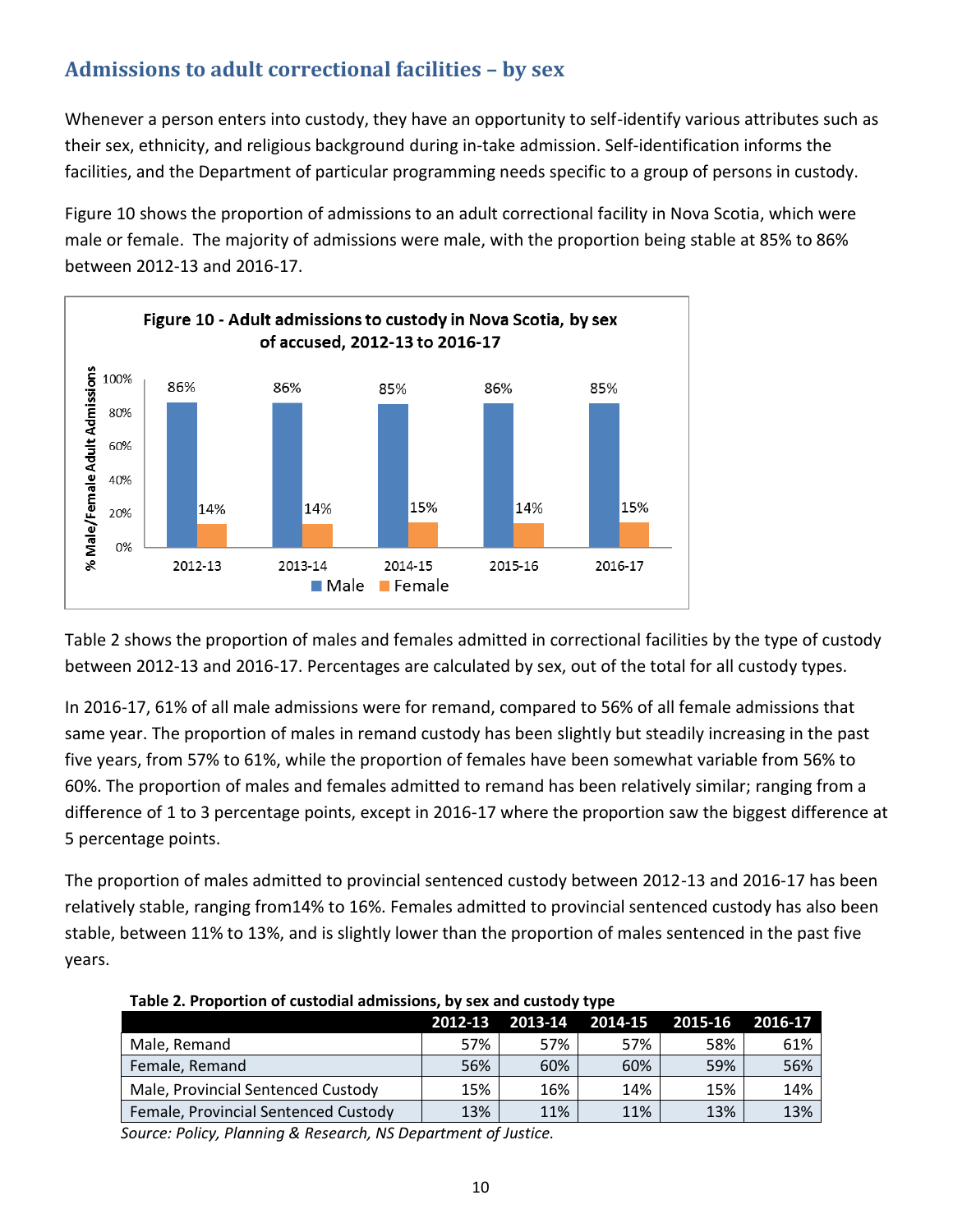# **Admissions to adult correctional facilities – by sex**

Whenever a person enters into custody, they have an opportunity to self-identify various attributes such as their sex, ethnicity, and religious background during in-take admission. Self-identification informs the facilities, and the Department of particular programming needs specific to a group of persons in custody.

Figure 10 shows the proportion of admissions to an adult correctional facility in Nova Scotia, which were male or female. The majority of admissions were male, with the proportion being stable at 85% to 86% between 2012-13 and 2016-17.



Table 2 shows the proportion of males and females admitted in correctional facilities by the type of custody between 2012-13 and 2016-17. Percentages are calculated by sex, out of the total for all custody types.

In 2016-17, 61% of all male admissions were for remand, compared to 56% of all female admissions that same year. The proportion of males in remand custody has been slightly but steadily increasing in the past five years, from 57% to 61%, while the proportion of females have been somewhat variable from 56% to 60%. The proportion of males and females admitted to remand has been relatively similar; ranging from a difference of 1 to 3 percentage points, except in 2016-17 where the proportion saw the biggest difference at 5 percentage points.

The proportion of males admitted to provincial sentenced custody between 2012-13 and 2016-17 has been relatively stable, ranging from14% to 16%. Females admitted to provincial sentenced custody has also been stable, between 11% to 13%, and is slightly lower than the proportion of males sentenced in the past five years.

|                                      | 2012-13 | 2013-14 2014-15 |     | 2015-16 | 2016-17 |
|--------------------------------------|---------|-----------------|-----|---------|---------|
| Male, Remand                         | 57%     | 57%             | 57% | 58%     | 61%     |
| Female, Remand                       | 56%     | 60%             | 60% | 59%     | 56%     |
| Male, Provincial Sentenced Custody   | 15%     | 16%             | 14% | 15%     | 14%     |
| Female, Provincial Sentenced Custody | 13%     | 11%             | 11% | 13%     | 13%     |

**Table 2. Proportion of custodial admissions, by sex and custody type**

*Source: Policy, Planning & Research, NS Department of Justice.*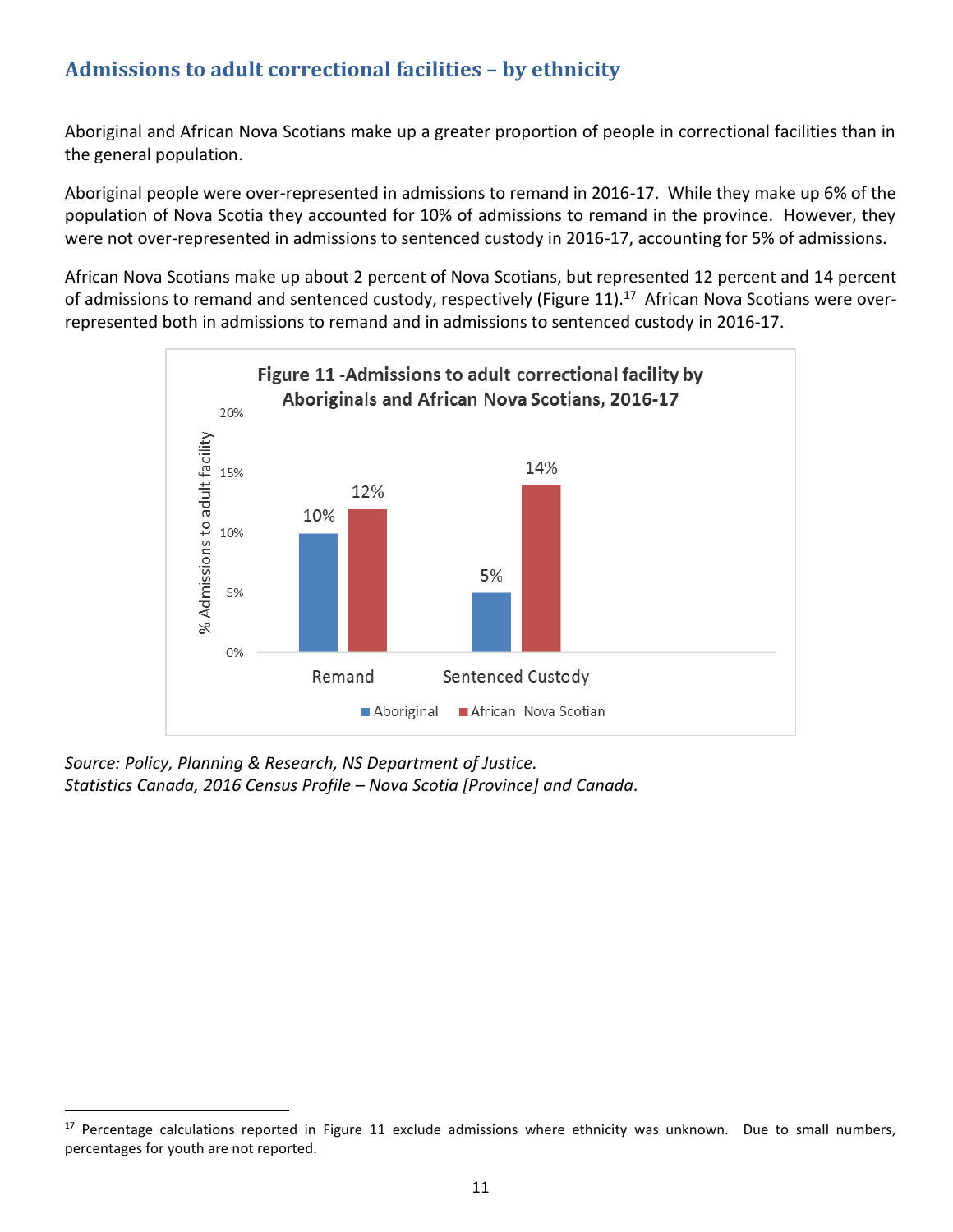# **Admissions to adult correctional facilities – by ethnicity**

Aboriginal and African Nova Scotians make up a greater proportion of people in correctional facilities than in the general population.

Aboriginal people were over-represented in admissions to remand in 2016-17. While they make up 6% of the population of Nova Scotia they accounted for 10% of admissions to remand in the province. However, they were not over-represented in admissions to sentenced custody in 2016-17, accounting for 5% of admissions.

African Nova Scotians make up about 2 percent of Nova Scotians, but represented 12 percent and 14 percent of admissions to remand and sentenced custody, respectively (Figure 11).<sup>17</sup> African Nova Scotians were overrepresented both in admissions to remand and in admissions to sentenced custody in 2016-17.



*Source: Policy, Planning & Research, NS Department of Justice. Statistics Canada, 2016 Census Profile – Nova Scotia [Province] and Canada.*

l

 $17$  Percentage calculations reported in Figure 11 exclude admissions where ethnicity was unknown. Due to small numbers, percentages for youth are not reported.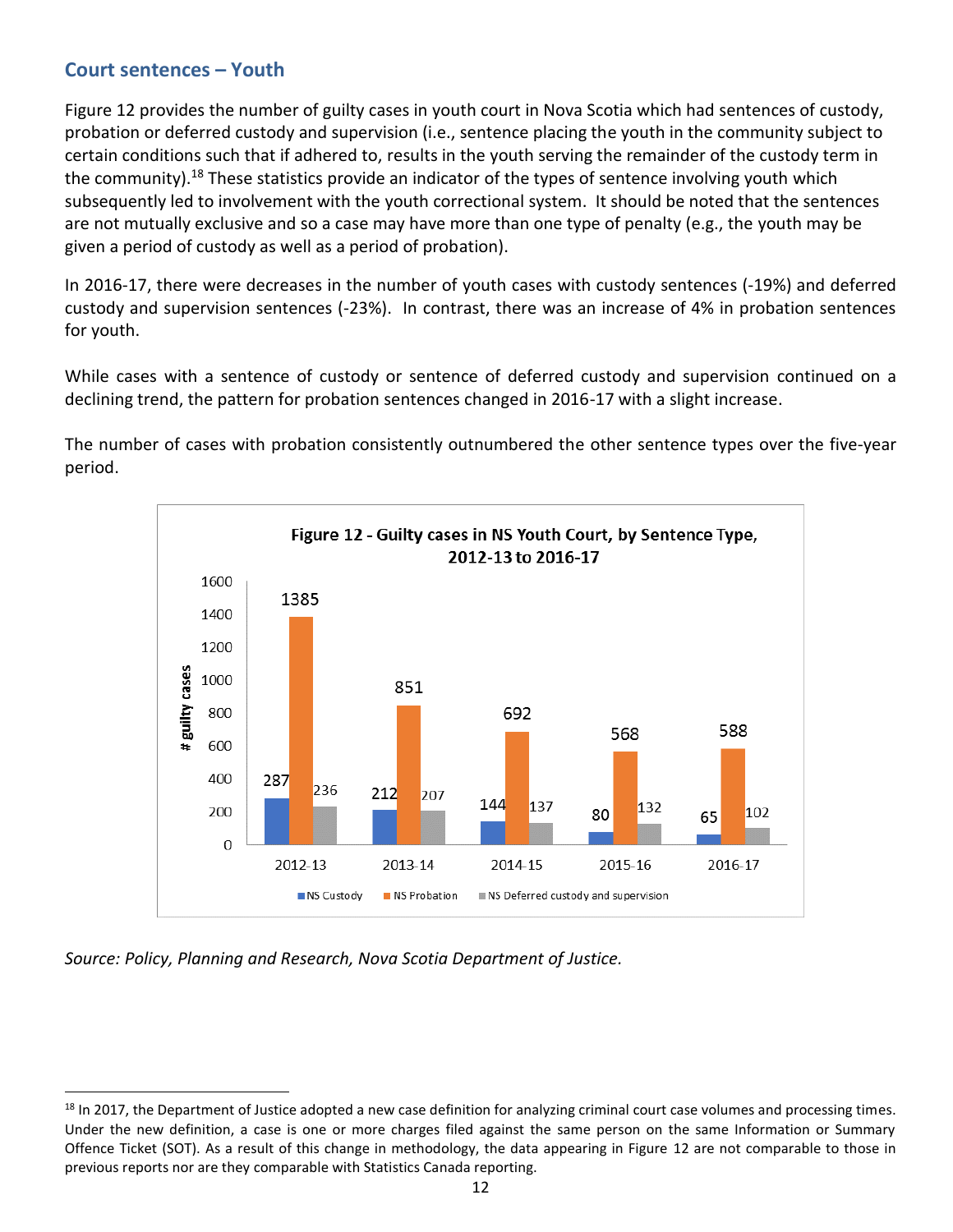#### **Court sentences – Youth**

Figure 12 provides the number of guilty cases in youth court in Nova Scotia which had sentences of custody, probation or deferred custody and supervision (i.e., sentence placing the youth in the community subject to certain conditions such that if adhered to, results in the youth serving the remainder of the custody term in the community).<sup>18</sup> These statistics provide an indicator of the types of sentence involving youth which subsequently led to involvement with the youth correctional system. It should be noted that the sentences are not mutually exclusive and so a case may have more than one type of penalty (e.g., the youth may be given a period of custody as well as a period of probation).

In 2016-17, there were decreases in the number of youth cases with custody sentences (-19%) and deferred custody and supervision sentences (-23%). In contrast, there was an increase of 4% in probation sentences for youth.

While cases with a sentence of custody or sentence of deferred custody and supervision continued on a declining trend, the pattern for probation sentences changed in 2016-17 with a slight increase.

The number of cases with probation consistently outnumbered the other sentence types over the five-year period.



*Source: Policy, Planning and Research, Nova Scotia Department of Justice.*

<sup>&</sup>lt;sup>18</sup> In 2017, the Department of Justice adopted a new case definition for analyzing criminal court case volumes and processing times. Under the new definition, a case is one or more charges filed against the same person on the same Information or Summary Offence Ticket (SOT). As a result of this change in methodology, the data appearing in Figure 12 are not comparable to those in previous reports nor are they comparable with Statistics Canada reporting.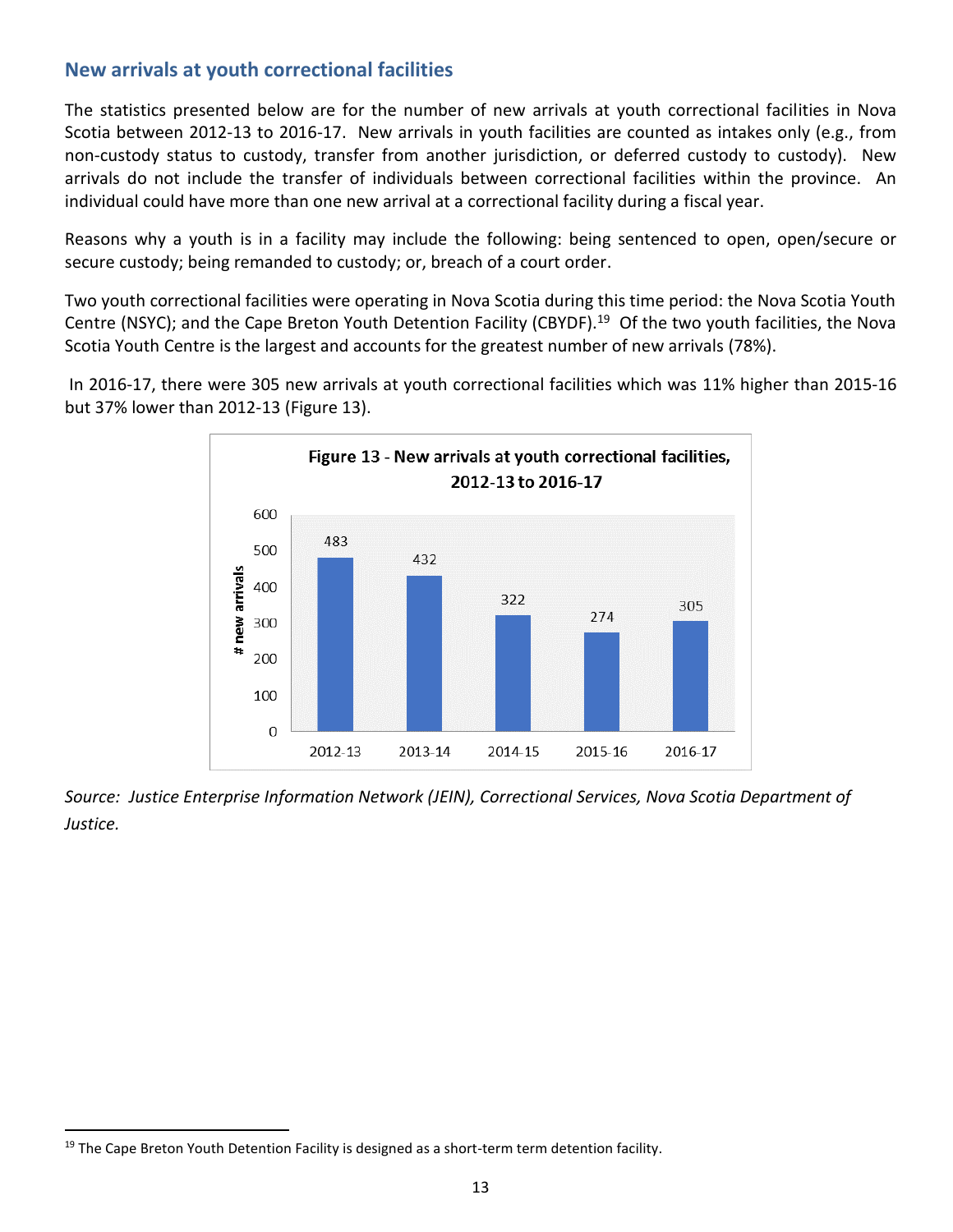#### **New arrivals at youth correctional facilities**

The statistics presented below are for the number of new arrivals at youth correctional facilities in Nova Scotia between 2012-13 to 2016-17. New arrivals in youth facilities are counted as intakes only (e.g., from non-custody status to custody, transfer from another jurisdiction, or deferred custody to custody). New arrivals do not include the transfer of individuals between correctional facilities within the province. An individual could have more than one new arrival at a correctional facility during a fiscal year.

Reasons why a youth is in a facility may include the following: being sentenced to open, open/secure or secure custody; being remanded to custody; or, breach of a court order.

Two youth correctional facilities were operating in Nova Scotia during this time period: the Nova Scotia Youth Centre (NSYC); and the Cape Breton Youth Detention Facility (CBYDF).<sup>19</sup> Of the two youth facilities, the Nova Scotia Youth Centre is the largest and accounts for the greatest number of new arrivals (78%).

In 2016-17, there were 305 new arrivals at youth correctional facilities which was 11% higher than 2015-16 but 37% lower than 2012-13 (Figure 13).



*Source: Justice Enterprise Information Network (JEIN), Correctional Services, Nova Scotia Department of Justice.*

 $19$  The Cape Breton Youth Detention Facility is designed as a short-term term detention facility.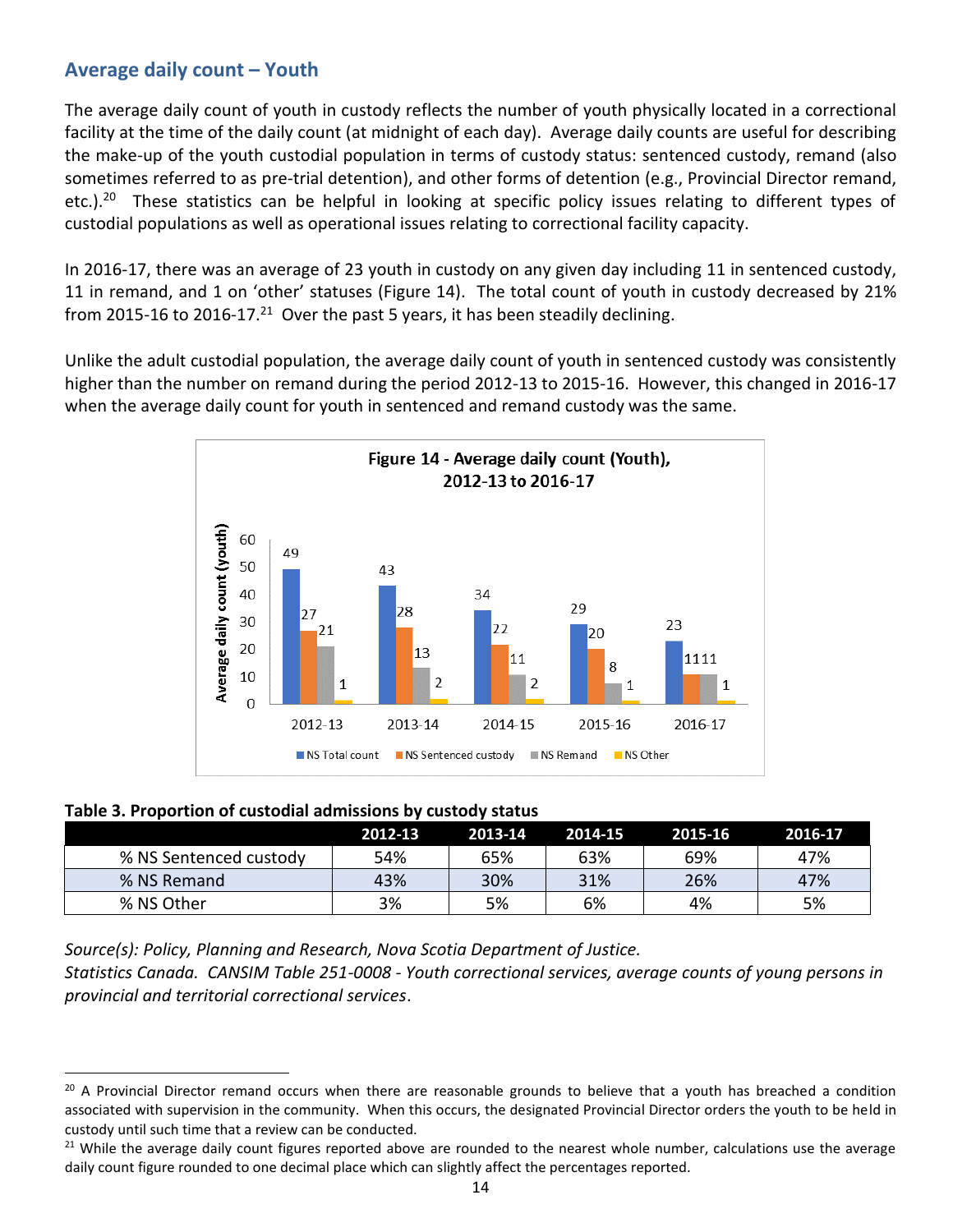#### **Average daily count – Youth**

The average daily count of youth in custody reflects the number of youth physically located in a correctional facility at the time of the daily count (at midnight of each day). Average daily counts are useful for describing the make-up of the youth custodial population in terms of custody status: sentenced custody, remand (also sometimes referred to as pre-trial detention), and other forms of detention (e.g., Provincial Director remand, etc.).<sup>20</sup> These statistics can be helpful in looking at specific policy issues relating to different types of custodial populations as well as operational issues relating to correctional facility capacity.

In 2016-17, there was an average of 23 youth in custody on any given day including 11 in sentenced custody, 11 in remand, and 1 on 'other' statuses (Figure 14). The total count of youth in custody decreased by 21% from 2015-16 to 2016-17.<sup>21</sup> Over the past 5 years, it has been steadily declining.

Unlike the adult custodial population, the average daily count of youth in sentenced custody was consistently higher than the number on remand during the period 2012-13 to 2015-16. However, this changed in 2016-17 when the average daily count for youth in sentenced and remand custody was the same.



| Table 3. Proportion of custodial admissions by custody status |  |  |
|---------------------------------------------------------------|--|--|
|---------------------------------------------------------------|--|--|

l

|                        | 2012-13 | 2013-14 | 2014-15 | 2015-16 | 2016-17 |
|------------------------|---------|---------|---------|---------|---------|
| % NS Sentenced custody | 54%     | 65%     | 63%     | 69%     | 47%     |
| % NS Remand            | 43%     | 30%     | 31%     | 26%     | 47%     |
| % NS Other             | 3%      | 5%      | 6%      | 4%      | 5%      |

*Source(s): Policy, Planning and Research, Nova Scotia Department of Justice.* 

*Statistics Canada. CANSIM Table 251-0008 - Youth correctional services, average counts of young persons in provincial and territorial correctional services*.

<sup>&</sup>lt;sup>20</sup> A Provincial Director remand occurs when there are reasonable grounds to believe that a youth has breached a condition associated with supervision in the community. When this occurs, the designated Provincial Director orders the youth to be held in custody until such time that a review can be conducted.

<sup>&</sup>lt;sup>21</sup> While the average daily count figures reported above are rounded to the nearest whole number, calculations use the average daily count figure rounded to one decimal place which can slightly affect the percentages reported.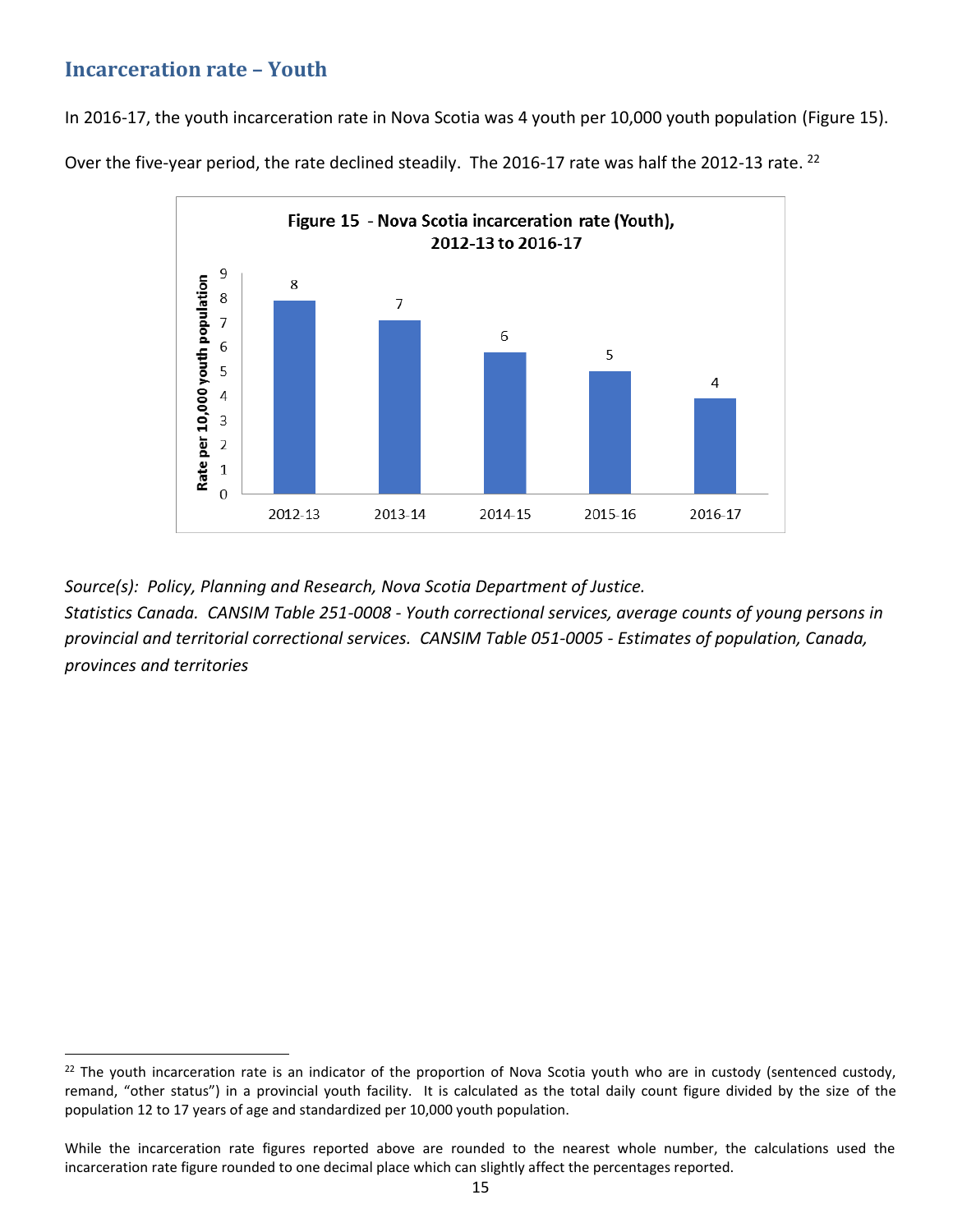#### **Incarceration rate – Youth**

 $\overline{\phantom{a}}$ 

In 2016-17, the youth incarceration rate in Nova Scotia was 4 youth per 10,000 youth population (Figure 15).

Over the five-year period, the rate declined steadily. The 2016-17 rate was half the 2012-13 rate. <sup>22</sup>



*Source(s): Policy, Planning and Research, Nova Scotia Department of Justice.* 

*Statistics Canada. CANSIM Table 251-0008 - Youth correctional services, average counts of young persons in provincial and territorial correctional services. CANSIM Table 051-0005 - Estimates of population, Canada, provinces and territories*

 $22$  The youth incarceration rate is an indicator of the proportion of Nova Scotia youth who are in custody (sentenced custody, remand, "other status") in a provincial youth facility. It is calculated as the total daily count figure divided by the size of the population 12 to 17 years of age and standardized per 10,000 youth population.

While the incarceration rate figures reported above are rounded to the nearest whole number, the calculations used the incarceration rate figure rounded to one decimal place which can slightly affect the percentages reported.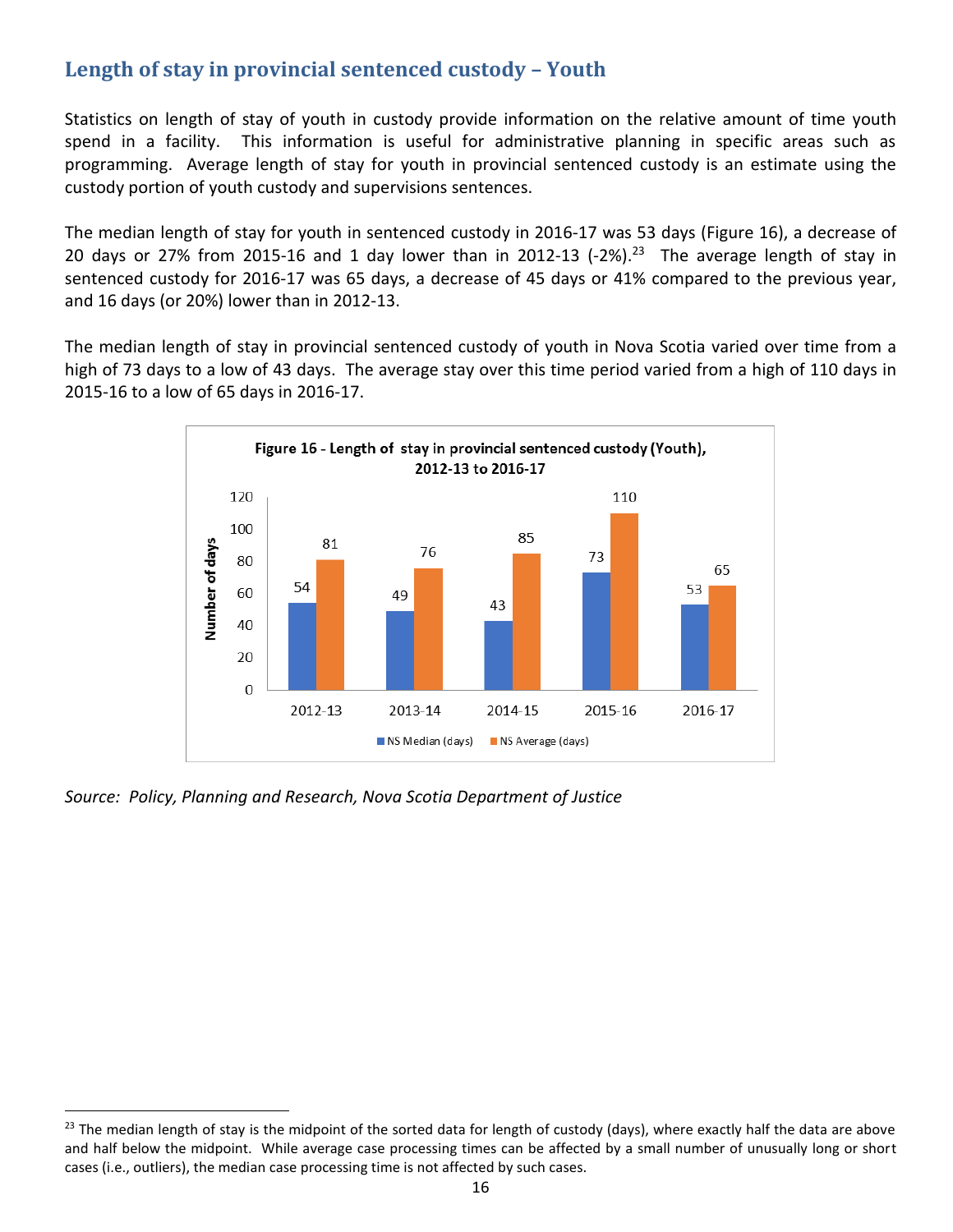# **Length of stay in provincial sentenced custody – Youth**

Statistics on length of stay of youth in custody provide information on the relative amount of time youth spend in a facility. This information is useful for administrative planning in specific areas such as programming. Average length of stay for youth in provincial sentenced custody is an estimate using the custody portion of youth custody and supervisions sentences.

The median length of stay for youth in sentenced custody in 2016-17 was 53 days (Figure 16), a decrease of 20 days or 27% from 2015-16 and 1 day lower than in 2012-13 (-2%).<sup>23</sup> The average length of stay in sentenced custody for 2016-17 was 65 days, a decrease of 45 days or 41% compared to the previous year, and 16 days (or 20%) lower than in 2012-13.

The median length of stay in provincial sentenced custody of youth in Nova Scotia varied over time from a high of 73 days to a low of 43 days. The average stay over this time period varied from a high of 110 days in 2015-16 to a low of 65 days in 2016-17.



*Source: Policy, Planning and Research, Nova Scotia Department of Justice*

l

 $23$  The median length of stay is the midpoint of the sorted data for length of custody (days), where exactly half the data are above and half below the midpoint. While average case processing times can be affected by a small number of unusually long or short cases (i.e., outliers), the median case processing time is not affected by such cases.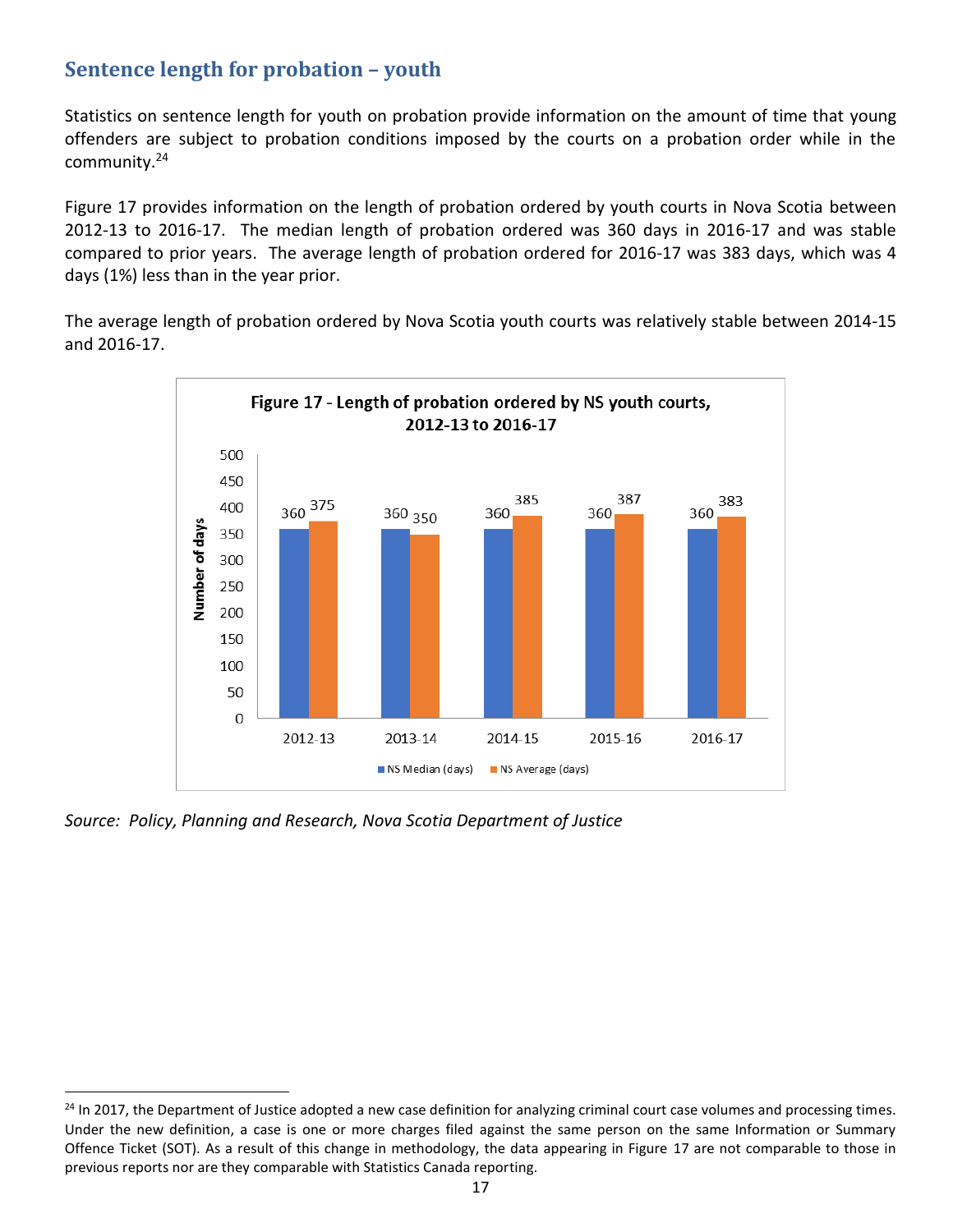# **Sentence length for probation – youth**

Statistics on sentence length for youth on probation provide information on the amount of time that young offenders are subject to probation conditions imposed by the courts on a probation order while in the community.<sup>24</sup>

Figure 17 provides information on the length of probation ordered by youth courts in Nova Scotia between 2012-13 to 2016-17. The median length of probation ordered was 360 days in 2016-17 and was stable compared to prior years. The average length of probation ordered for 2016-17 was 383 days, which was 4 days (1%) less than in the year prior.

The average length of probation ordered by Nova Scotia youth courts was relatively stable between 2014-15 and 2016-17.



*Source: Policy, Planning and Research, Nova Scotia Department of Justice*

<sup>&</sup>lt;sup>24</sup> In 2017, the Department of Justice adopted a new case definition for analyzing criminal court case volumes and processing times. Under the new definition, a case is one or more charges filed against the same person on the same Information or Summary Offence Ticket (SOT). As a result of this change in methodology, the data appearing in Figure 17 are not comparable to those in previous reports nor are they comparable with Statistics Canada reporting.